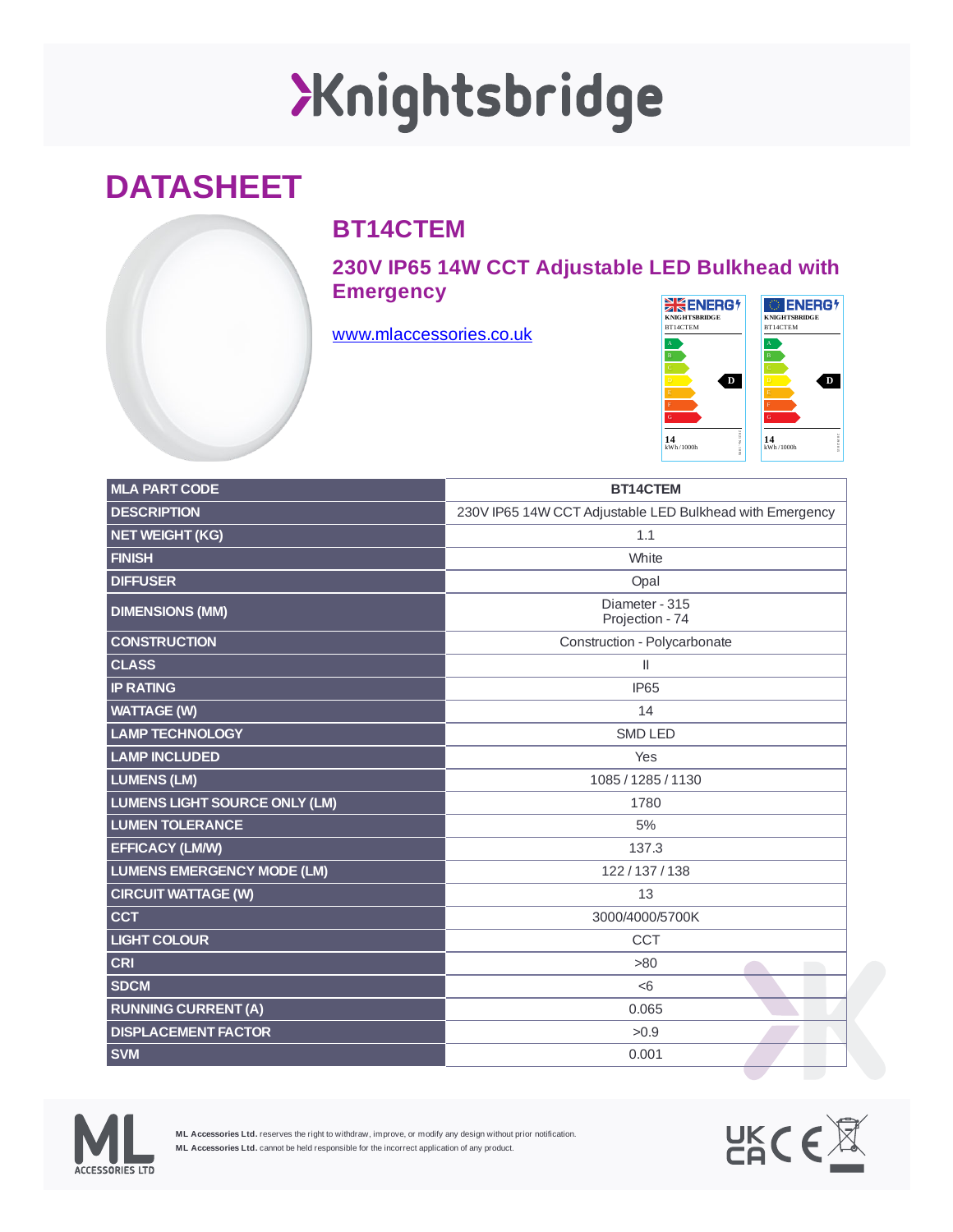## XKnightsbridge

## **DATASHEET**

## **BT14CTEM**

**230V IP65 14W CCT Adjustable LED Bulkhead with Emergency**

[www.mlaccessories.co.uk](https://www.mlaccessories.co.uk/)



| <b>MLA PART CODE</b>                 | BT14CTEM                                                 |
|--------------------------------------|----------------------------------------------------------|
| <b>DESCRIPTION</b>                   | 230V IP65 14W CCT Adjustable LED Bulkhead with Emergency |
| <b>NET WEIGHT (KG)</b>               | 1.1                                                      |
| <b>FINISH</b>                        | White                                                    |
| <b>DIFFUSER</b>                      | Opal                                                     |
| <b>DIMENSIONS (MM)</b>               | Diameter - 315<br>Projection - 74                        |
| <b>CONSTRUCTION</b>                  | Construction - Polycarbonate                             |
| <b>CLASS</b>                         | $\mathsf{II}$                                            |
| <b>IP RATING</b>                     | <b>IP65</b>                                              |
| <b>WATTAGE (W)</b>                   | 14                                                       |
| <b>LAMP TECHNOLOGY</b>               | <b>SMD LED</b>                                           |
| <b>LAMP INCLUDED</b>                 | Yes                                                      |
| <b>LUMENS (LM)</b>                   | 1085 / 1285 / 1130                                       |
| <b>LUMENS LIGHT SOURCE ONLY (LM)</b> | 1780                                                     |
| <b>LUMEN TOLERANCE</b>               | 5%                                                       |
| <b>EFFICACY (LM/W)</b>               | 137.3                                                    |
| <b>LUMENS EMERGENCY MODE (LM)</b>    | 122/137/138                                              |
| <b>CIRCUIT WATTAGE (W)</b>           | 13                                                       |
| <b>CCT</b>                           | 3000/4000/5700K                                          |
| <b>LIGHT COLOUR</b>                  | <b>CCT</b>                                               |
| <b>CRI</b>                           | >80                                                      |
| <b>SDCM</b>                          | < 6                                                      |
| <b>RUNNING CURRENT (A)</b>           | 0.065                                                    |
| <b>DISPLACEMENT FACTOR</b>           | >0.9                                                     |
| <b>SVM</b>                           | 0.001                                                    |



**ML Accessories Ltd.** reserves the right to withdraw, improve, or modify any design without prior notification. **ML Accessories Ltd.** cannot be held responsible for the incorrect application of any product.